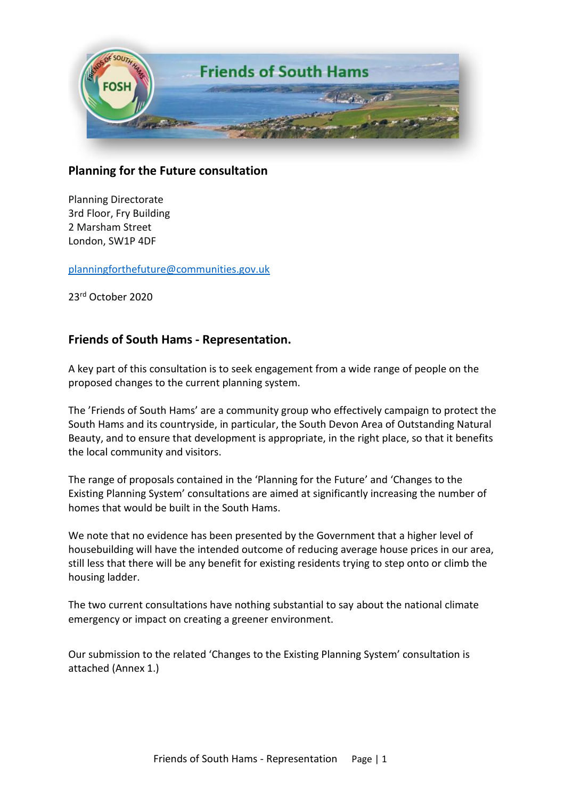

# **Planning for the Future consultation**

Planning Directorate 3rd Floor, Fry Building 2 Marsham Street London, SW1P 4DF

[planningforthefuture@communities.gov.uk](mailto:planningforthefuture@communities.gov.uk)

23 rd October 2020

# **Friends of South Hams - Representation.**

A key part of this consultation is to seek engagement from a wide range of people on the proposed changes to the current planning system.

The 'Friends of South Hams' are a community group who effectively campaign to protect the South Hams and its countryside, in particular, the South Devon Area of Outstanding Natural Beauty, and to ensure that development is appropriate, in the right place, so that it benefits the local community and visitors.

The range of proposals contained in the 'Planning for the Future' and 'Changes to the Existing Planning System' consultations are aimed at significantly increasing the number of homes that would be built in the South Hams.

We note that no evidence has been presented by the Government that a higher level of housebuilding will have the intended outcome of reducing average house prices in our area, still less that there will be any benefit for existing residents trying to step onto or climb the housing ladder.

The two current consultations have nothing substantial to say about the national climate emergency or impact on creating a greener environment.

Our submission to the related 'Changes to the Existing Planning System' consultation is attached (Annex 1.)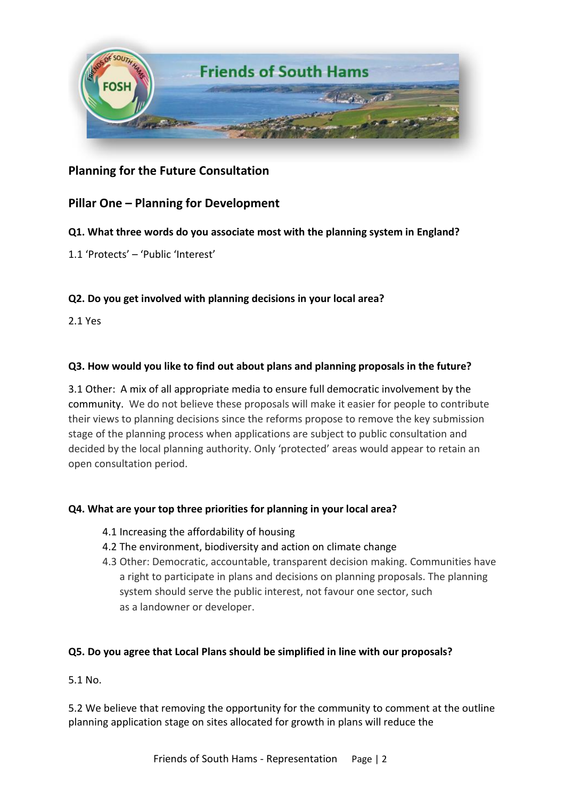

# **Planning for the Future Consultation**

# **Pillar One – Planning for Development**

#### **Q1. What three words do you associate most with the planning system in England?**

1.1 'Protects' – 'Public 'Interest'

### **Q2. Do you get involved with planning decisions in your local area?**

2.1 Yes

#### **Q3. How would you like to find out about plans and planning proposals in the future?**

3.1 Other: A mix of all appropriate media to ensure full democratic involvement by the community. We do not believe these proposals will make it easier for people to contribute their views to planning decisions since the reforms propose to remove the key submission stage of the planning process when applications are subject to public consultation and decided by the local planning authority. Only 'protected' areas would appear to retain an open consultation period.

#### **Q4. What are your top three priorities for planning in your local area?**

- 4.1 Increasing the affordability of housing
- 4.2 The environment, biodiversity and action on climate change
- 4.3 Other: Democratic, accountable, transparent decision making. Communities have a right to participate in plans and decisions on planning proposals. The planning system should serve the public interest, not favour one sector, such as a landowner or developer.

#### **Q5. Do you agree that Local Plans should be simplified in line with our proposals?**

5.1 No.

5.2 We believe that removing the opportunity for the community to comment at the outline planning application stage on sites allocated for growth in plans will reduce the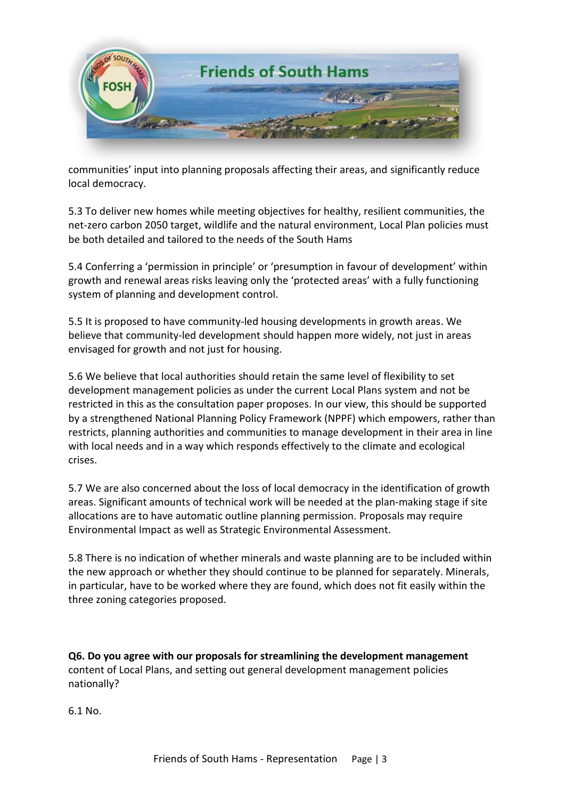

communities' input into planning proposals affecting their areas, and significantly reduce local democracy.

5.3 To deliver new homes while meeting objectives for healthy, resilient communities, the net-zero carbon 2050 target, wildlife and the natural environment, Local Plan policies must be both detailed and tailored to the needs of the South Hams

5.4 Conferring a 'permission in principle' or 'presumption in favour of development' within growth and renewal areas risks leaving only the 'protected areas' with a fully functioning system of planning and development control.

5.5 It is proposed to have community-led housing developments in growth areas. We believe that community-led development should happen more widely, not just in areas envisaged for growth and not just for housing.

5.6 We believe that local authorities should retain the same level of flexibility to set development management policies as under the current Local Plans system and not be restricted in this as the consultation paper proposes. In our view, this should be supported by a strengthened National Planning Policy Framework (NPPF) which empowers, rather than restricts, planning authorities and communities to manage development in their area in line with local needs and in a way which responds effectively to the climate and ecological crises.

5.7 We are also concerned about the loss of local democracy in the identification of growth areas. Significant amounts of technical work will be needed at the plan-making stage if site allocations are to have automatic outline planning permission. Proposals may require Environmental Impact as well as Strategic Environmental Assessment.

5.8 There is no indication of whether minerals and waste planning are to be included within the new approach or whether they should continue to be planned for separately. Minerals, in particular, have to be worked where they are found, which does not fit easily within the three zoning categories proposed.

**Q6. Do you agree with our proposals for streamlining the development management** content of Local Plans, and setting out general development management policies nationally?

6.1 No.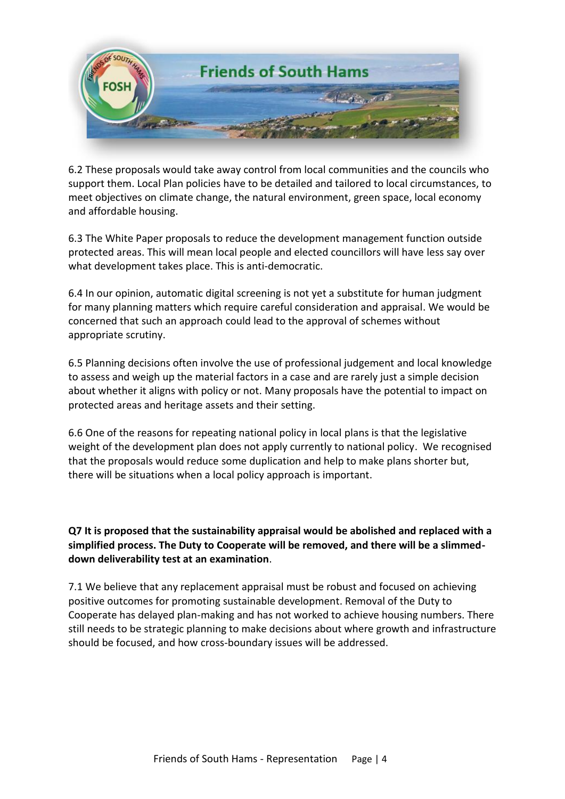

6.2 These proposals would take away control from local communities and the councils who support them. Local Plan policies have to be detailed and tailored to local circumstances, to meet objectives on climate change, the natural environment, green space, local economy and affordable housing.

6.3 The White Paper proposals to reduce the development management function outside protected areas. This will mean local people and elected councillors will have less say over what development takes place. This is anti-democratic.

6.4 In our opinion, automatic digital screening is not yet a substitute for human judgment for many planning matters which require careful consideration and appraisal. We would be concerned that such an approach could lead to the approval of schemes without appropriate scrutiny.

6.5 Planning decisions often involve the use of professional judgement and local knowledge to assess and weigh up the material factors in a case and are rarely just a simple decision about whether it aligns with policy or not. Many proposals have the potential to impact on protected areas and heritage assets and their setting.

6.6 One of the reasons for repeating national policy in local plans is that the legislative weight of the development plan does not apply currently to national policy. We recognised that the proposals would reduce some duplication and help to make plans shorter but, there will be situations when a local policy approach is important.

**Q7 It is proposed that the sustainability appraisal would be abolished and replaced with a simplified process. The Duty to Cooperate will be removed, and there will be a slimmeddown deliverability test at an examination**.

7.1 We believe that any replacement appraisal must be robust and focused on achieving positive outcomes for promoting sustainable development. Removal of the Duty to Cooperate has delayed plan-making and has not worked to achieve housing numbers. There still needs to be strategic planning to make decisions about where growth and infrastructure should be focused, and how cross-boundary issues will be addressed.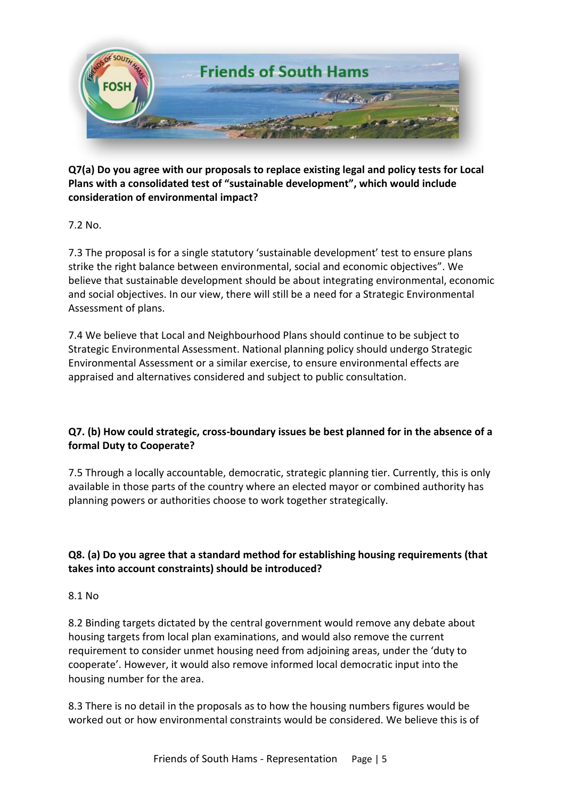

**Q7(a) Do you agree with our proposals to replace existing legal and policy tests for Local Plans with a consolidated test of "sustainable development", which would include consideration of environmental impact?**

7.2 No.

7.3 The proposal is for a single statutory 'sustainable development' test to ensure plans strike the right balance between environmental, social and economic objectives". We believe that sustainable development should be about integrating environmental, economic and social objectives. In our view, there will still be a need for a Strategic Environmental Assessment of plans.

7.4 We believe that Local and Neighbourhood Plans should continue to be subject to Strategic Environmental Assessment. National planning policy should undergo Strategic Environmental Assessment or a similar exercise, to ensure environmental effects are appraised and alternatives considered and subject to public consultation.

### **Q7. (b) How could strategic, cross-boundary issues be best planned for in the absence of a formal Duty to Cooperate?**

7.5 Through a locally accountable, democratic, strategic planning tier. Currently, this is only available in those parts of the country where an elected mayor or combined authority has planning powers or authorities choose to work together strategically.

# **Q8. (a) Do you agree that a standard method for establishing housing requirements (that takes into account constraints) should be introduced?**

#### 8.1 No

8.2 Binding targets dictated by the central government would remove any debate about housing targets from local plan examinations, and would also remove the current requirement to consider unmet housing need from adjoining areas, under the 'duty to cooperate'. However, it would also remove informed local democratic input into the housing number for the area.

8.3 There is no detail in the proposals as to how the housing numbers figures would be worked out or how environmental constraints would be considered. We believe this is of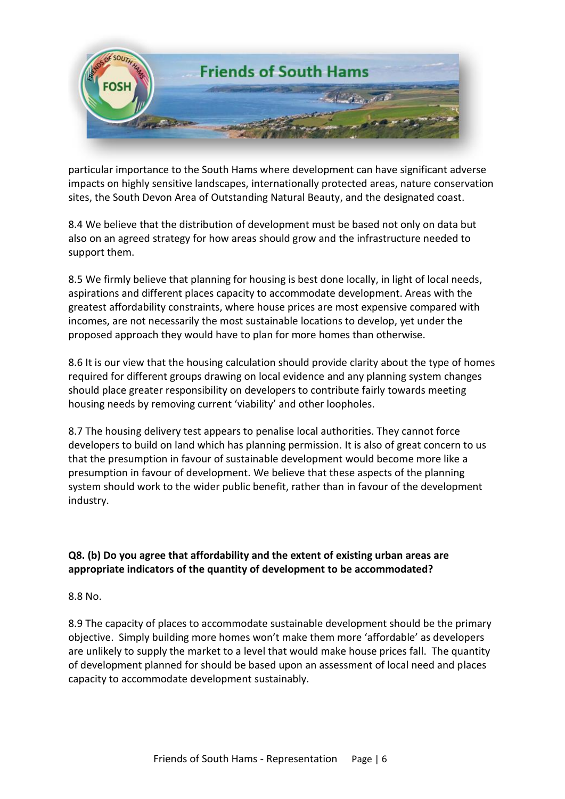

particular importance to the South Hams where development can have significant adverse impacts on highly sensitive landscapes, internationally protected areas, nature conservation sites, the South Devon Area of Outstanding Natural Beauty, and the designated coast.

8.4 We believe that the distribution of development must be based not only on data but also on an agreed strategy for how areas should grow and the infrastructure needed to support them.

8.5 We firmly believe that planning for housing is best done locally, in light of local needs, aspirations and different places capacity to accommodate development. Areas with the greatest affordability constraints, where house prices are most expensive compared with incomes, are not necessarily the most sustainable locations to develop, yet under the proposed approach they would have to plan for more homes than otherwise.

8.6 It is our view that the housing calculation should provide clarity about the type of homes required for different groups drawing on local evidence and any planning system changes should place greater responsibility on developers to contribute fairly towards meeting housing needs by removing current 'viability' and other loopholes.

8.7 The housing delivery test appears to penalise local authorities. They cannot force developers to build on land which has planning permission. It is also of great concern to us that the presumption in favour of sustainable development would become more like a presumption in favour of development. We believe that these aspects of the planning system should work to the wider public benefit, rather than in favour of the development industry.

### **Q8. (b) Do you agree that affordability and the extent of existing urban areas are appropriate indicators of the quantity of development to be accommodated?**

8.8 No.

8.9 The capacity of places to accommodate sustainable development should be the primary objective. Simply building more homes won't make them more 'affordable' as developers are unlikely to supply the market to a level that would make house prices fall. The quantity of development planned for should be based upon an assessment of local need and places capacity to accommodate development sustainably.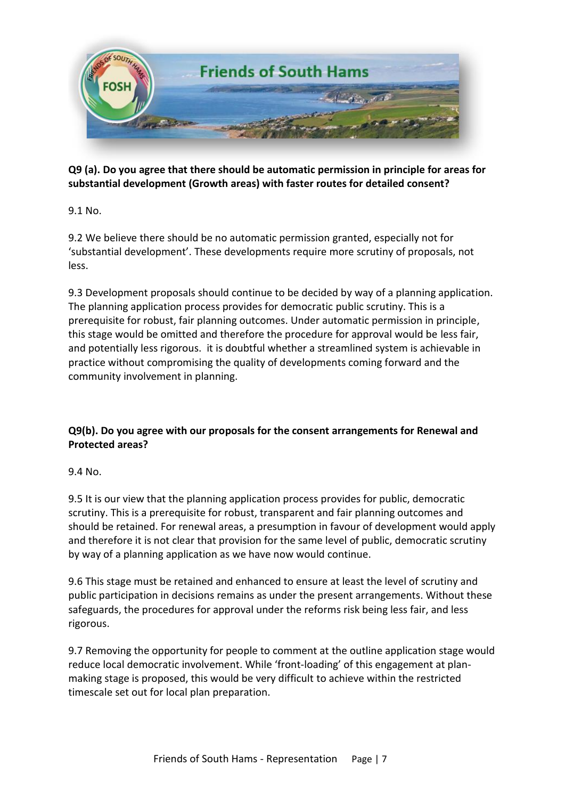

**Q9 (a). Do you agree that there should be automatic permission in principle for areas for substantial development (Growth areas) with faster routes for detailed consent?** 

9.1 No.

9.2 We believe there should be no automatic permission granted, especially not for 'substantial development'. These developments require more scrutiny of proposals, not less.

9.3 Development proposals should continue to be decided by way of a planning application. The planning application process provides for democratic public scrutiny. This is a prerequisite for robust, fair planning outcomes. Under automatic permission in principle, this stage would be omitted and therefore the procedure for approval would be less fair, and potentially less rigorous. it is doubtful whether a streamlined system is achievable in practice without compromising the quality of developments coming forward and the community involvement in planning.

# **Q9(b). Do you agree with our proposals for the consent arrangements for Renewal and Protected areas?**

9.4 No.

9.5 It is our view that the planning application process provides for public, democratic scrutiny. This is a prerequisite for robust, transparent and fair planning outcomes and should be retained. For renewal areas, a presumption in favour of development would apply and therefore it is not clear that provision for the same level of public, democratic scrutiny by way of a planning application as we have now would continue.

9.6 This stage must be retained and enhanced to ensure at least the level of scrutiny and public participation in decisions remains as under the present arrangements. Without these safeguards, the procedures for approval under the reforms risk being less fair, and less rigorous.

9.7 Removing the opportunity for people to comment at the outline application stage would reduce local democratic involvement. While 'front-loading' of this engagement at planmaking stage is proposed, this would be very difficult to achieve within the restricted timescale set out for local plan preparation.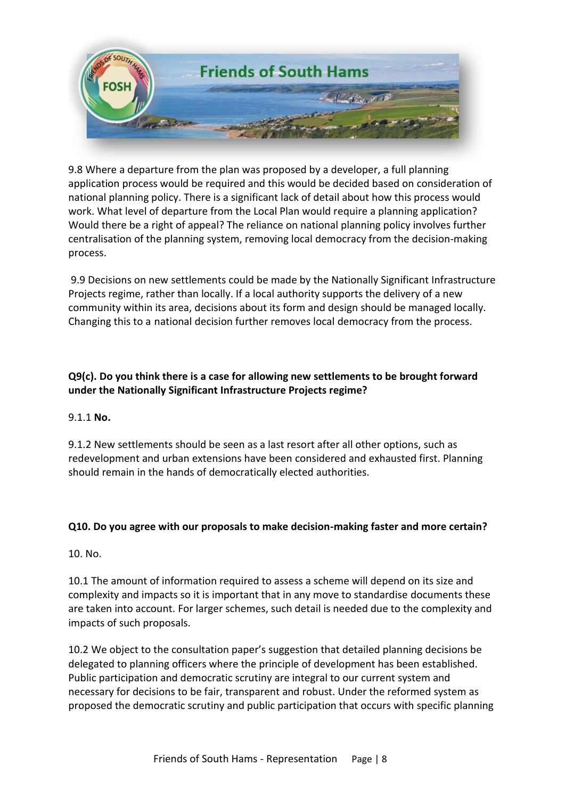

9.8 Where a departure from the plan was proposed by a developer, a full planning application process would be required and this would be decided based on consideration of national planning policy. There is a significant lack of detail about how this process would work. What level of departure from the Local Plan would require a planning application? Would there be a right of appeal? The reliance on national planning policy involves further centralisation of the planning system, removing local democracy from the decision-making process.

9.9 Decisions on new settlements could be made by the Nationally Significant Infrastructure Projects regime, rather than locally. If a local authority supports the delivery of a new community within its area, decisions about its form and design should be managed locally. Changing this to a national decision further removes local democracy from the process.

### **Q9(c). Do you think there is a case for allowing new settlements to be brought forward under the Nationally Significant Infrastructure Projects regime?**

#### 9.1.1 **No.**

9.1.2 New settlements should be seen as a last resort after all other options, such as redevelopment and urban extensions have been considered and exhausted first. Planning should remain in the hands of democratically elected authorities.

#### **Q10. Do you agree with our proposals to make decision-making faster and more certain?**

10. No.

10.1 The amount of information required to assess a scheme will depend on its size and complexity and impacts so it is important that in any move to standardise documents these are taken into account. For larger schemes, such detail is needed due to the complexity and impacts of such proposals.

10.2 We object to the consultation paper's suggestion that detailed planning decisions be delegated to planning officers where the principle of development has been established. Public participation and democratic scrutiny are integral to our current system and necessary for decisions to be fair, transparent and robust. Under the reformed system as proposed the democratic scrutiny and public participation that occurs with specific planning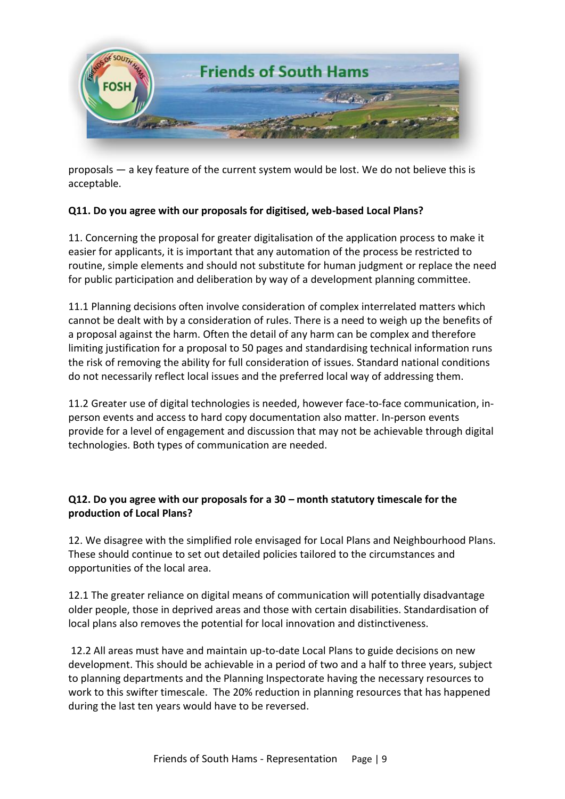

proposals — a key feature of the current system would be lost. We do not believe this is acceptable.

### **Q11. Do you agree with our proposals for digitised, web-based Local Plans?**

11. Concerning the proposal for greater digitalisation of the application process to make it easier for applicants, it is important that any automation of the process be restricted to routine, simple elements and should not substitute for human judgment or replace the need for public participation and deliberation by way of a development planning committee.

11.1 Planning decisions often involve consideration of complex interrelated matters which cannot be dealt with by a consideration of rules. There is a need to weigh up the benefits of a proposal against the harm. Often the detail of any harm can be complex and therefore limiting justification for a proposal to 50 pages and standardising technical information runs the risk of removing the ability for full consideration of issues. Standard national conditions do not necessarily reflect local issues and the preferred local way of addressing them.

11.2 Greater use of digital technologies is needed, however face-to-face communication, inperson events and access to hard copy documentation also matter. In-person events provide for a level of engagement and discussion that may not be achievable through digital technologies. Both types of communication are needed.

#### **Q12. Do you agree with our proposals for a 30 – month statutory timescale for the production of Local Plans?**

12. We disagree with the simplified role envisaged for Local Plans and Neighbourhood Plans. These should continue to set out detailed policies tailored to the circumstances and opportunities of the local area.

12.1 The greater reliance on digital means of communication will potentially disadvantage older people, those in deprived areas and those with certain disabilities. Standardisation of local plans also removes the potential for local innovation and distinctiveness.

12.2 All areas must have and maintain up-to-date Local Plans to guide decisions on new development. This should be achievable in a period of two and a half to three years, subject to planning departments and the Planning Inspectorate having the necessary resources to work to this swifter timescale. The 20% reduction in planning resources that has happened during the last ten years would have to be reversed.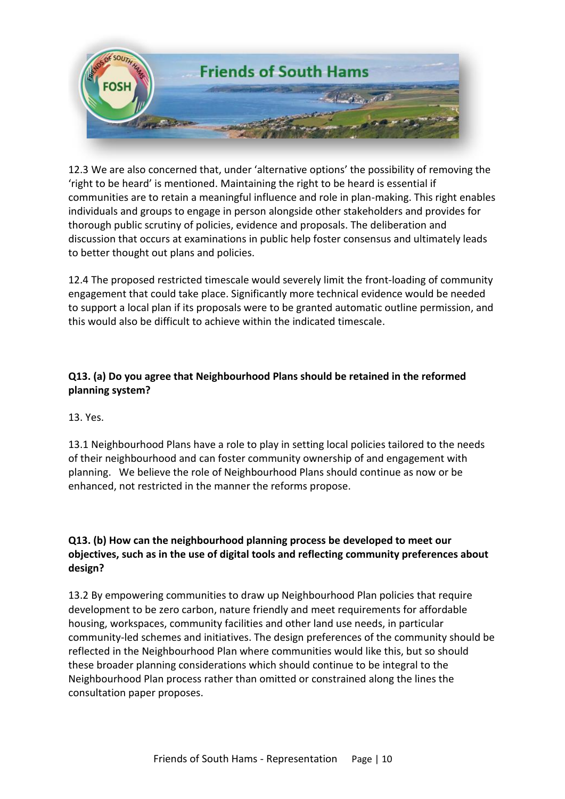

12.3 We are also concerned that, under 'alternative options' the possibility of removing the 'right to be heard' is mentioned. Maintaining the right to be heard is essential if communities are to retain a meaningful influence and role in plan-making. This right enables individuals and groups to engage in person alongside other stakeholders and provides for thorough public scrutiny of policies, evidence and proposals. The deliberation and discussion that occurs at examinations in public help foster consensus and ultimately leads to better thought out plans and policies.

12.4 The proposed restricted timescale would severely limit the front-loading of community engagement that could take place. Significantly more technical evidence would be needed to support a local plan if its proposals were to be granted automatic outline permission, and this would also be difficult to achieve within the indicated timescale.

### **Q13. (a) Do you agree that Neighbourhood Plans should be retained in the reformed planning system?**

13. Yes.

13.1 Neighbourhood Plans have a role to play in setting local policies tailored to the needs of their neighbourhood and can foster community ownership of and engagement with planning. We believe the role of Neighbourhood Plans should continue as now or be enhanced, not restricted in the manner the reforms propose.

### **Q13. (b) How can the neighbourhood planning process be developed to meet our objectives, such as in the use of digital tools and reflecting community preferences about design?**

13.2 By empowering communities to draw up Neighbourhood Plan policies that require development to be zero carbon, nature friendly and meet requirements for affordable housing, workspaces, community facilities and other land use needs, in particular community-led schemes and initiatives. The design preferences of the community should be reflected in the Neighbourhood Plan where communities would like this, but so should these broader planning considerations which should continue to be integral to the Neighbourhood Plan process rather than omitted or constrained along the lines the consultation paper proposes.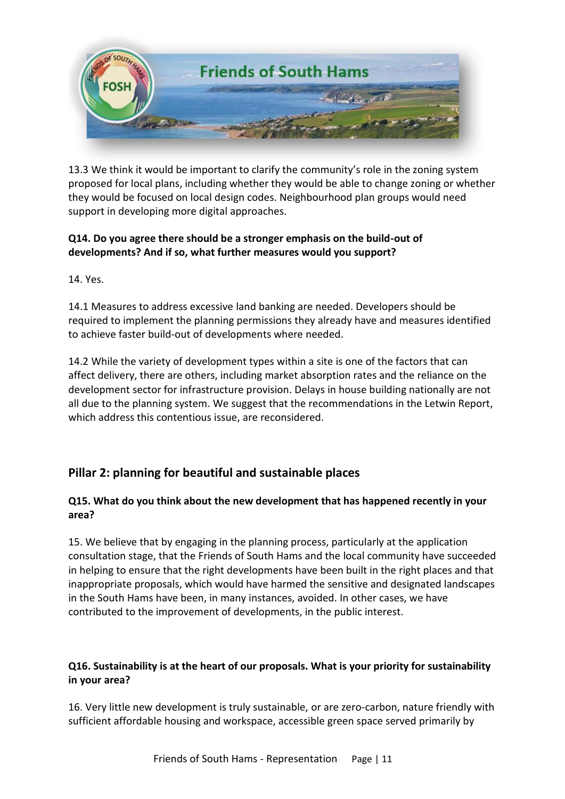

13.3 We think it would be important to clarify the community's role in the zoning system proposed for local plans, including whether they would be able to change zoning or whether they would be focused on local design codes. Neighbourhood plan groups would need support in developing more digital approaches.

### **Q14. Do you agree there should be a stronger emphasis on the build-out of developments? And if so, what further measures would you support?**

14. Yes.

14.1 Measures to address excessive land banking are needed. Developers should be required to implement the planning permissions they already have and measures identified to achieve faster build-out of developments where needed.

14.2 While the variety of development types within a site is one of the factors that can affect delivery, there are others, including market absorption rates and the reliance on the development sector for infrastructure provision. Delays in house building nationally are not all due to the planning system. We suggest that the recommendations in the Letwin Report, which address this contentious issue, are reconsidered.

# **Pillar 2: planning for beautiful and sustainable places**

### **Q15. What do you think about the new development that has happened recently in your area?**

15. We believe that by engaging in the planning process, particularly at the application consultation stage, that the Friends of South Hams and the local community have succeeded in helping to ensure that the right developments have been built in the right places and that inappropriate proposals, which would have harmed the sensitive and designated landscapes in the South Hams have been, in many instances, avoided. In other cases, we have contributed to the improvement of developments, in the public interest.

### **Q16. Sustainability is at the heart of our proposals. What is your priority for sustainability in your area?**

16. Very little new development is truly sustainable, or are zero-carbon, nature friendly with sufficient affordable housing and workspace, accessible green space served primarily by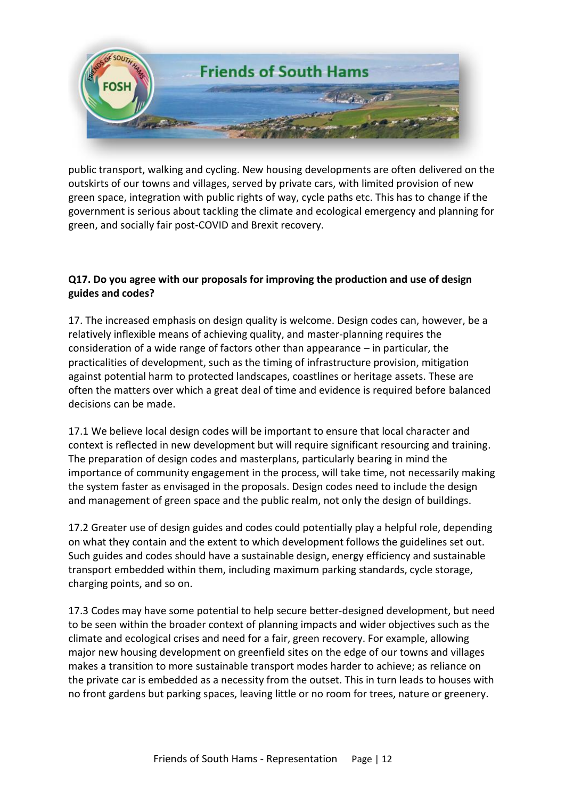

public transport, walking and cycling. New housing developments are often delivered on the outskirts of our towns and villages, served by private cars, with limited provision of new green space, integration with public rights of way, cycle paths etc. This has to change if the government is serious about tackling the climate and ecological emergency and planning for green, and socially fair post-COVID and Brexit recovery.

### **Q17. Do you agree with our proposals for improving the production and use of design guides and codes?**

17. The increased emphasis on design quality is welcome. Design codes can, however, be a relatively inflexible means of achieving quality, and master-planning requires the consideration of a wide range of factors other than appearance – in particular, the practicalities of development, such as the timing of infrastructure provision, mitigation against potential harm to protected landscapes, coastlines or heritage assets. These are often the matters over which a great deal of time and evidence is required before balanced decisions can be made.

17.1 We believe local design codes will be important to ensure that local character and context is reflected in new development but will require significant resourcing and training. The preparation of design codes and masterplans, particularly bearing in mind the importance of community engagement in the process, will take time, not necessarily making the system faster as envisaged in the proposals. Design codes need to include the design and management of green space and the public realm, not only the design of buildings.

17.2 Greater use of design guides and codes could potentially play a helpful role, depending on what they contain and the extent to which development follows the guidelines set out. Such guides and codes should have a sustainable design, energy efficiency and sustainable transport embedded within them, including maximum parking standards, cycle storage, charging points, and so on.

17.3 Codes may have some potential to help secure better-designed development, but need to be seen within the broader context of planning impacts and wider objectives such as the climate and ecological crises and need for a fair, green recovery. For example, allowing major new housing development on greenfield sites on the edge of our towns and villages makes a transition to more sustainable transport modes harder to achieve; as reliance on the private car is embedded as a necessity from the outset. This in turn leads to houses with no front gardens but parking spaces, leaving little or no room for trees, nature or greenery.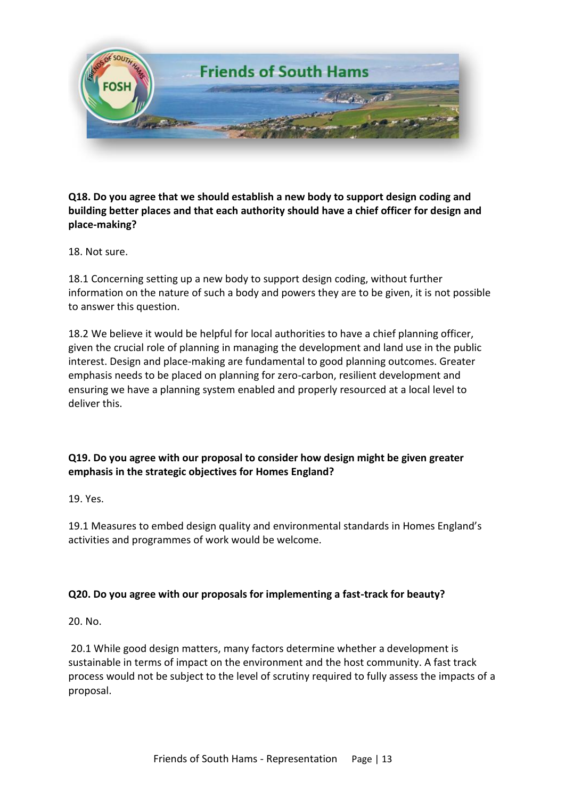

### **Q18. Do you agree that we should establish a new body to support design coding and building better places and that each authority should have a chief officer for design and place-making?**

18. Not sure.

18.1 Concerning setting up a new body to support design coding, without further information on the nature of such a body and powers they are to be given, it is not possible to answer this question.

18.2 We believe it would be helpful for local authorities to have a chief planning officer, given the crucial role of planning in managing the development and land use in the public interest. Design and place-making are fundamental to good planning outcomes. Greater emphasis needs to be placed on planning for zero-carbon, resilient development and ensuring we have a planning system enabled and properly resourced at a local level to deliver this.

### **Q19. Do you agree with our proposal to consider how design might be given greater emphasis in the strategic objectives for Homes England?**

19. Yes.

19.1 Measures to embed design quality and environmental standards in Homes England's activities and programmes of work would be welcome.

#### **Q20. Do you agree with our proposals for implementing a fast-track for beauty?**

20. No.

20.1 While good design matters, many factors determine whether a development is sustainable in terms of impact on the environment and the host community. A fast track process would not be subject to the level of scrutiny required to fully assess the impacts of a proposal.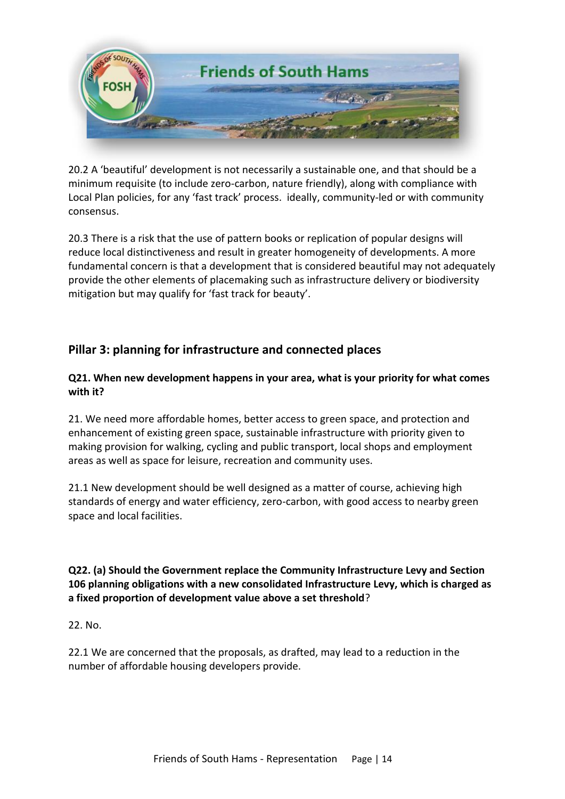

20.2 A 'beautiful' development is not necessarily a sustainable one, and that should be a minimum requisite (to include zero-carbon, nature friendly), along with compliance with Local Plan policies, for any 'fast track' process. ideally, community-led or with community consensus.

20.3 There is a risk that the use of pattern books or replication of popular designs will reduce local distinctiveness and result in greater homogeneity of developments. A more fundamental concern is that a development that is considered beautiful may not adequately provide the other elements of placemaking such as infrastructure delivery or biodiversity mitigation but may qualify for 'fast track for beauty'.

# **Pillar 3: planning for infrastructure and connected places**

### **Q21. When new development happens in your area, what is your priority for what comes with it?**

21. We need more affordable homes, better access to green space, and protection and enhancement of existing green space, sustainable infrastructure with priority given to making provision for walking, cycling and public transport, local shops and employment areas as well as space for leisure, recreation and community uses.

21.1 New development should be well designed as a matter of course, achieving high standards of energy and water efficiency, zero-carbon, with good access to nearby green space and local facilities.

### **Q22. (a) Should the Government replace the Community Infrastructure Levy and Section 106 planning obligations with a new consolidated Infrastructure Levy, which is charged as a fixed proportion of development value above a set threshold**?

22. No.

22.1 We are concerned that the proposals, as drafted, may lead to a reduction in the number of affordable housing developers provide.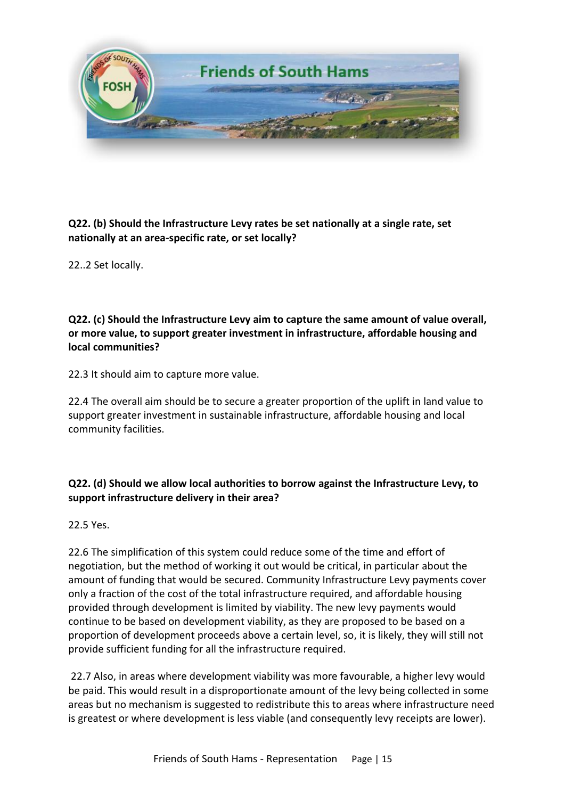

**Q22. (b) Should the Infrastructure Levy rates be set nationally at a single rate, set nationally at an area-specific rate, or set locally?** 

22..2 Set locally.

**Q22. (c) Should the Infrastructure Levy aim to capture the same amount of value overall, or more value, to support greater investment in infrastructure, affordable housing and local communities?** 

22.3 It should aim to capture more value.

22.4 The overall aim should be to secure a greater proportion of the uplift in land value to support greater investment in sustainable infrastructure, affordable housing and local community facilities.

### **Q22. (d) Should we allow local authorities to borrow against the Infrastructure Levy, to support infrastructure delivery in their area?**

22.5 Yes.

22.6 The simplification of this system could reduce some of the time and effort of negotiation, but the method of working it out would be critical, in particular about the amount of funding that would be secured. Community Infrastructure Levy payments cover only a fraction of the cost of the total infrastructure required, and affordable housing provided through development is limited by viability. The new levy payments would continue to be based on development viability, as they are proposed to be based on a proportion of development proceeds above a certain level, so, it is likely, they will still not provide sufficient funding for all the infrastructure required.

22.7 Also, in areas where development viability was more favourable, a higher levy would be paid. This would result in a disproportionate amount of the levy being collected in some areas but no mechanism is suggested to redistribute this to areas where infrastructure need is greatest or where development is less viable (and consequently levy receipts are lower).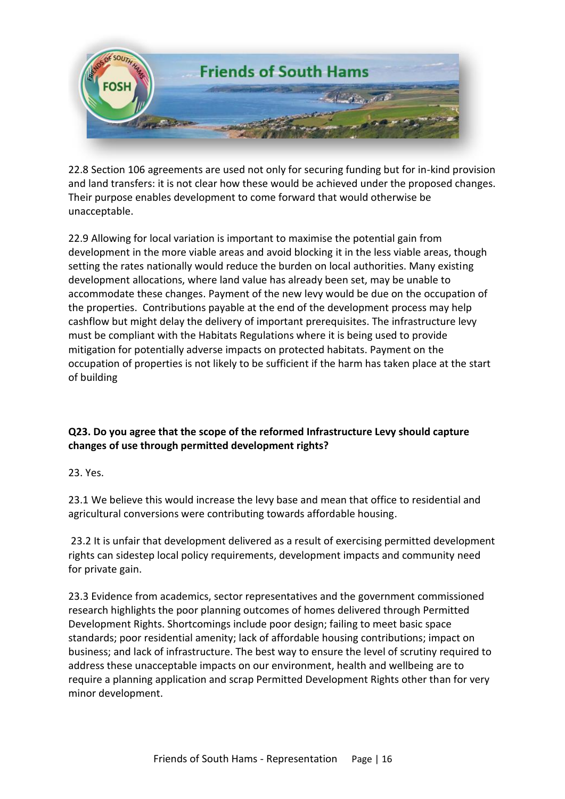

22.8 Section 106 agreements are used not only for securing funding but for in-kind provision and land transfers: it is not clear how these would be achieved under the proposed changes. Their purpose enables development to come forward that would otherwise be unacceptable.

22.9 Allowing for local variation is important to maximise the potential gain from development in the more viable areas and avoid blocking it in the less viable areas, though setting the rates nationally would reduce the burden on local authorities. Many existing development allocations, where land value has already been set, may be unable to accommodate these changes. Payment of the new levy would be due on the occupation of the properties. Contributions payable at the end of the development process may help cashflow but might delay the delivery of important prerequisites. The infrastructure levy must be compliant with the Habitats Regulations where it is being used to provide mitigation for potentially adverse impacts on protected habitats. Payment on the occupation of properties is not likely to be sufficient if the harm has taken place at the start of building

### **Q23. Do you agree that the scope of the reformed Infrastructure Levy should capture changes of use through permitted development rights?**

23. Yes.

23.1 We believe this would increase the levy base and mean that office to residential and agricultural conversions were contributing towards affordable housing.

23.2 It is unfair that development delivered as a result of exercising permitted development rights can sidestep local policy requirements, development impacts and community need for private gain.

23.3 Evidence from academics, sector representatives and the government commissioned research highlights the poor planning outcomes of homes delivered through Permitted Development Rights. Shortcomings include poor design; failing to meet basic space standards; poor residential amenity; lack of affordable housing contributions; impact on business; and lack of infrastructure. The best way to ensure the level of scrutiny required to address these unacceptable impacts on our environment, health and wellbeing are to require a planning application and scrap Permitted Development Rights other than for very minor development.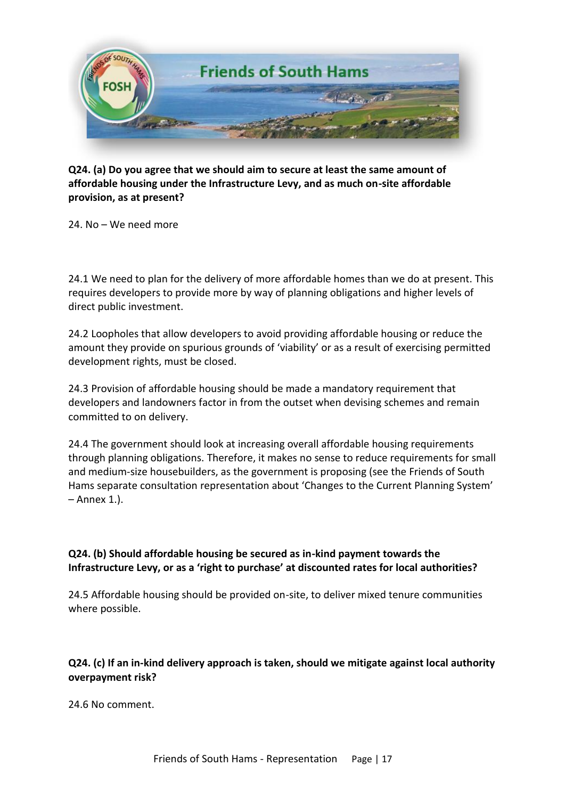

**Q24. (a) Do you agree that we should aim to secure at least the same amount of affordable housing under the Infrastructure Levy, and as much on-site affordable provision, as at present?** 

24. No – We need more

24.1 We need to plan for the delivery of more affordable homes than we do at present. This requires developers to provide more by way of planning obligations and higher levels of direct public investment.

24.2 Loopholes that allow developers to avoid providing affordable housing or reduce the amount they provide on spurious grounds of 'viability' or as a result of exercising permitted development rights, must be closed.

24.3 Provision of affordable housing should be made a mandatory requirement that developers and landowners factor in from the outset when devising schemes and remain committed to on delivery.

24.4 The government should look at increasing overall affordable housing requirements through planning obligations. Therefore, it makes no sense to reduce requirements for small and medium-size housebuilders, as the government is proposing (see the Friends of South Hams separate consultation representation about 'Changes to the Current Planning System' – Annex 1.).

#### **Q24. (b) Should affordable housing be secured as in-kind payment towards the Infrastructure Levy, or as a 'right to purchase' at discounted rates for local authorities?**

24.5 Affordable housing should be provided on-site, to deliver mixed tenure communities where possible.

### **Q24. (c) If an in-kind delivery approach is taken, should we mitigate against local authority overpayment risk?**

24.6 No comment.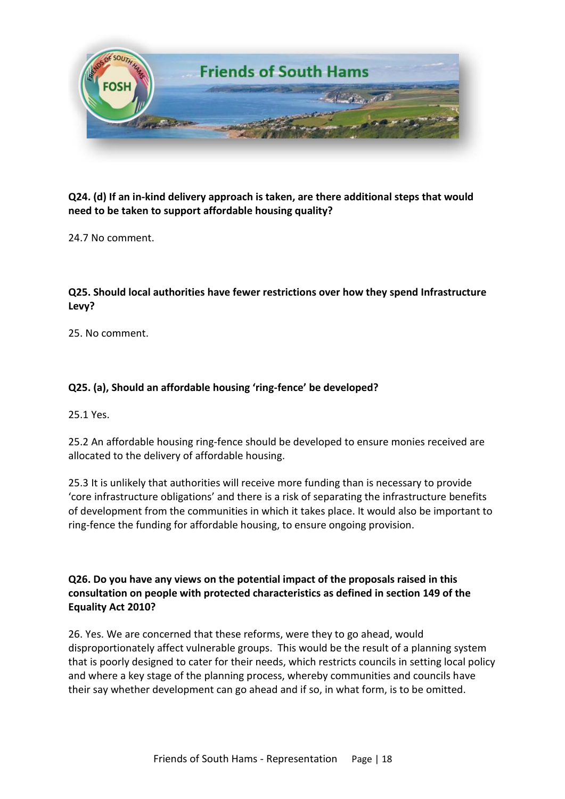

### **Q24. (d) If an in-kind delivery approach is taken, are there additional steps that would need to be taken to support affordable housing quality?**

24.7 No comment

### **Q25. Should local authorities have fewer restrictions over how they spend Infrastructure Levy?**

25. No comment.

# **Q25. (a), Should an affordable housing 'ring-fence' be developed?**

25.1 Yes.

25.2 An affordable housing ring-fence should be developed to ensure monies received are allocated to the delivery of affordable housing.

25.3 It is unlikely that authorities will receive more funding than is necessary to provide 'core infrastructure obligations' and there is a risk of separating the infrastructure benefits of development from the communities in which it takes place. It would also be important to ring-fence the funding for affordable housing, to ensure ongoing provision.

**Q26. Do you have any views on the potential impact of the proposals raised in this consultation on people with protected characteristics as defined in section 149 of the Equality Act 2010?** 

26. Yes. We are concerned that these reforms, were they to go ahead, would disproportionately affect vulnerable groups. This would be the result of a planning system that is poorly designed to cater for their needs, which restricts councils in setting local policy and where a key stage of the planning process, whereby communities and councils have their say whether development can go ahead and if so, in what form, is to be omitted.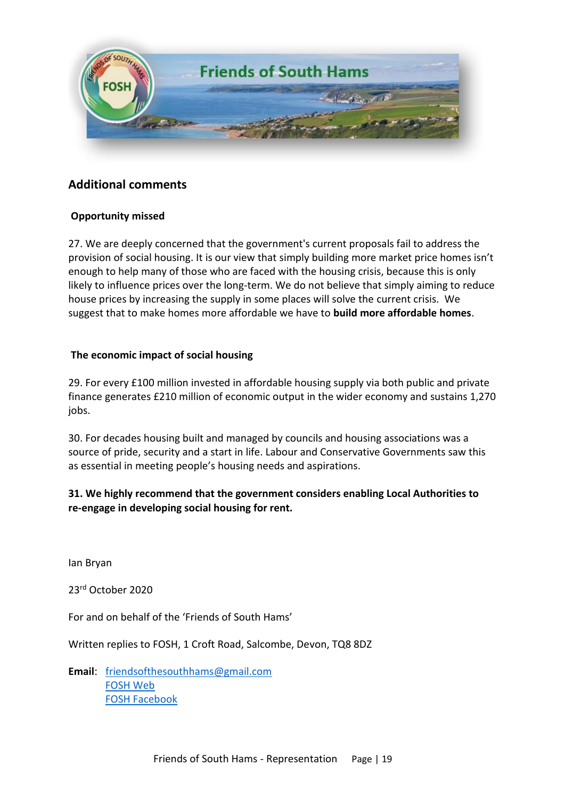

# **Additional comments**

#### **Opportunity missed**

27. We are deeply concerned that the government's current proposals fail to address the provision of social housing. It is our view that simply building more market price homes isn't enough to help many of those who are faced with the housing crisis, because this is only likely to influence prices over the long-term. We do not believe that simply aiming to reduce house prices by increasing the supply in some places will solve the current crisis. We suggest that to make homes more affordable we have to **build more affordable homes**.

#### **The economic impact of social housing**

29. For every £100 million invested in affordable housing supply via both public and private finance generates £210 million of economic output in the wider economy and sustains 1,270 jobs.

30. For decades housing built and managed by councils and housing associations was a source of pride, security and a start in life. Labour and Conservative Governments saw this as essential in meeting people's housing needs and aspirations.

### **31. We highly recommend that the government considers enabling Local Authorities to re-engage in developing social housing for rent.**

Ian Bryan

23rd October 2020

For and on behalf of the 'Friends of South Hams'

Written replies to FOSH, 1 Croft Road, Salcombe, Devon, TQ8 8DZ

**Email**: [friendsofthesouthhams@gmail.com](mailto:friendsofthesouthhams@gmail.com)  [FOSH Web](https://friendsofsouthhams.com/)  [FOSH Facebook](https://www.facebook.com/friendsofsouthhams)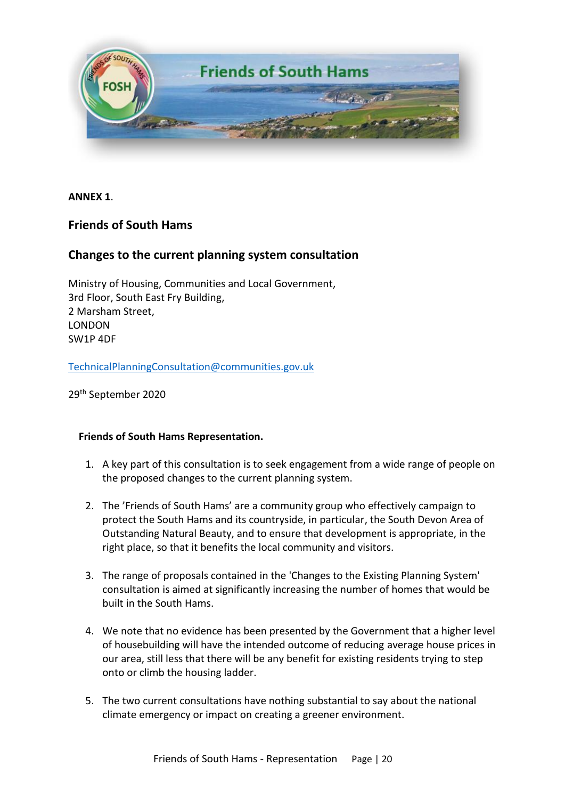

**ANNEX 1**.

# **Friends of South Hams**

### **Changes to the current planning system consultation**

Ministry of Housing, Communities and Local Government, 3rd Floor, South East Fry Building, 2 Marsham Street, LONDON SW1P 4DF

[TechnicalPlanningConsultation@communities.gov.uk](mailto:TechnicalPlanningConsultation@communities.gov.uk)

29th September 2020

#### **Friends of South Hams Representation.**

- 1. A key part of this consultation is to seek engagement from a wide range of people on the proposed changes to the current planning system.
- 2. The 'Friends of South Hams' are a community group who effectively campaign to protect the South Hams and its countryside, in particular, the South Devon Area of Outstanding Natural Beauty, and to ensure that development is appropriate, in the right place, so that it benefits the local community and visitors.
- 3. The range of proposals contained in the 'Changes to the Existing Planning System' consultation is aimed at significantly increasing the number of homes that would be built in the South Hams.
- 4. We note that no evidence has been presented by the Government that a higher level of housebuilding will have the intended outcome of reducing average house prices in our area, still less that there will be any benefit for existing residents trying to step onto or climb the housing ladder.
- 5. The two current consultations have nothing substantial to say about the national climate emergency or impact on creating a greener environment.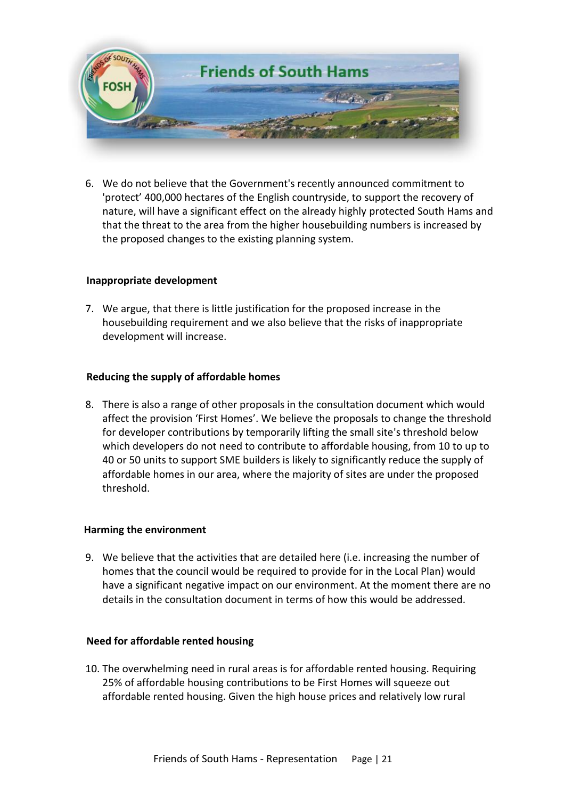

6. We do not believe that the Government's recently announced commitment to 'protect' 400,000 hectares of the English countryside, to support the recovery of nature, will have a significant effect on the already highly protected South Hams and that the threat to the area from the higher housebuilding numbers is increased by the proposed changes to the existing planning system.

#### **Inappropriate development**

7. We argue, that there is little justification for the proposed increase in the housebuilding requirement and we also believe that the risks of inappropriate development will increase.

#### **Reducing the supply of affordable homes**

8. There is also a range of other proposals in the consultation document which would affect the provision 'First Homes'. We believe the proposals to change the threshold for developer contributions by temporarily lifting the small site's threshold below which developers do not need to contribute to affordable housing, from 10 to up to 40 or 50 units to support SME builders is likely to significantly reduce the supply of affordable homes in our area, where the majority of sites are under the proposed threshold.

#### **Harming the environment**

9. We believe that the activities that are detailed here (i.e. increasing the number of homes that the council would be required to provide for in the Local Plan) would have a significant negative impact on our environment. At the moment there are no details in the consultation document in terms of how this would be addressed.

#### **Need for affordable rented housing**

10. The overwhelming need in rural areas is for affordable rented housing. Requiring 25% of affordable housing contributions to be First Homes will squeeze out affordable rented housing. Given the high house prices and relatively low rural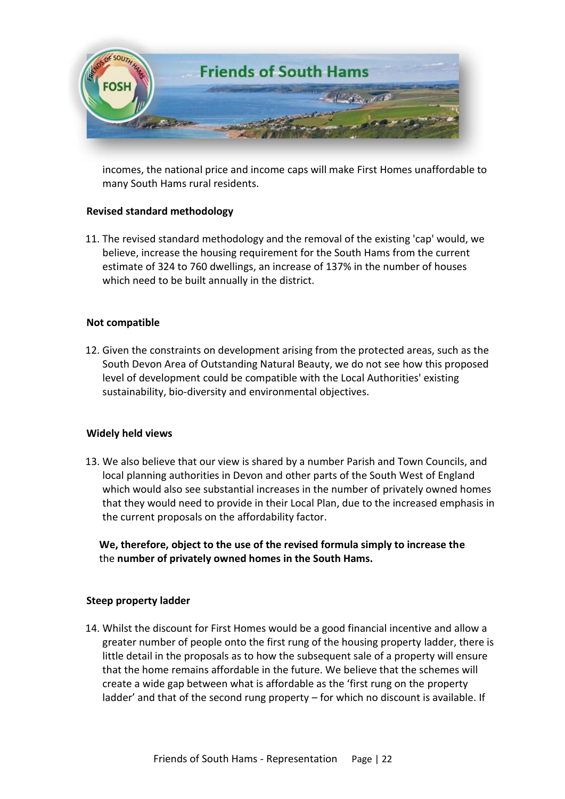

incomes, the national price and income caps will make First Homes unaffordable to many South Hams rural residents.

#### **Revised standard methodology**

11. The revised standard methodology and the removal of the existing 'cap' would, we believe, increase the housing requirement for the South Hams from the current estimate of 324 to 760 dwellings, an increase of 137% in the number of houses which need to be built annually in the district.

#### **Not compatible**

12. Given the constraints on development arising from the protected areas, such as the South Devon Area of Outstanding Natural Beauty, we do not see how this proposed level of development could be compatible with the Local Authorities' existing sustainability, bio-diversity and environmental objectives.

#### **Widely held views**

13. We also believe that our view is shared by a number Parish and Town Councils, and local planning authorities in Devon and other parts of the South West of England which would also see substantial increases in the number of privately owned homes that they would need to provide in their Local Plan, due to the increased emphasis in the current proposals on the affordability factor.

 **We, therefore, object to the use of the revised formula simply to increase the**  the **number of privately owned homes in the South Hams.**

#### **Steep property ladder**

14. Whilst the discount for First Homes would be a good financial incentive and allow a greater number of people onto the first rung of the housing property ladder, there is little detail in the proposals as to how the subsequent sale of a property will ensure that the home remains affordable in the future. We believe that the schemes will create a wide gap between what is affordable as the 'first rung on the property ladder' and that of the second rung property – for which no discount is available. If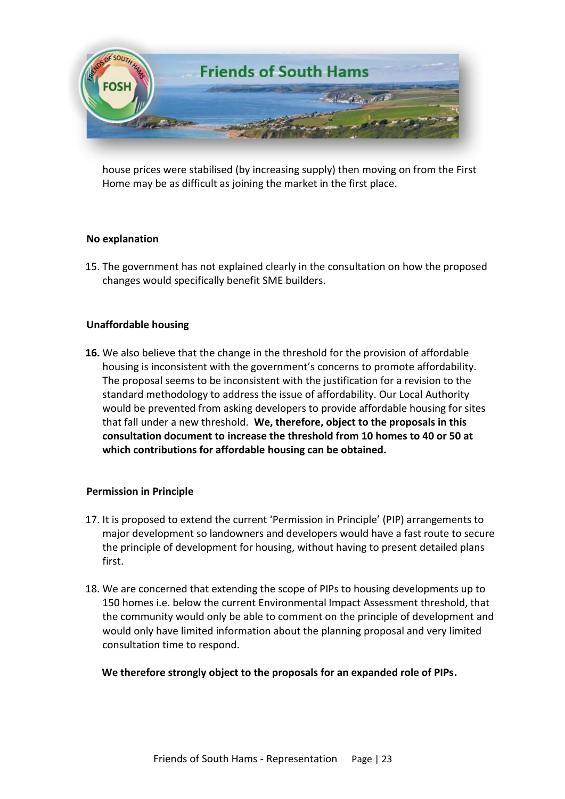

house prices were stabilised (by increasing supply) then moving on from the First Home may be as difficult as joining the market in the first place.

#### **No explanation**

15. The government has not explained clearly in the consultation on how the proposed changes would specifically benefit SME builders.

#### **Unaffordable housing**

**16.** We also believe that the change in the threshold for the provision of affordable housing is inconsistent with the government's concerns to promote affordability. The proposal seems to be inconsistent with the justification for a revision to the standard methodology to address the issue of affordability. Our Local Authority would be prevented from asking developers to provide affordable housing for sites that fall under a new threshold. **We, therefore, object to the proposals in this consultation document to increase the threshold from 10 homes to 40 or 50 at which contributions for affordable housing can be obtained.**

#### **Permission in Principle**

- 17. It is proposed to extend the current 'Permission in Principle' (PIP) arrangements to major development so landowners and developers would have a fast route to secure the principle of development for housing, without having to present detailed plans first.
- 18. We are concerned that extending the scope of PIPs to housing developments up to 150 homes i.e. below the current Environmental Impact Assessment threshold, that the community would only be able to comment on the principle of development and would only have limited information about the planning proposal and very limited consultation time to respond.

#### **We therefore strongly object to the proposals for an expanded role of PIPs.**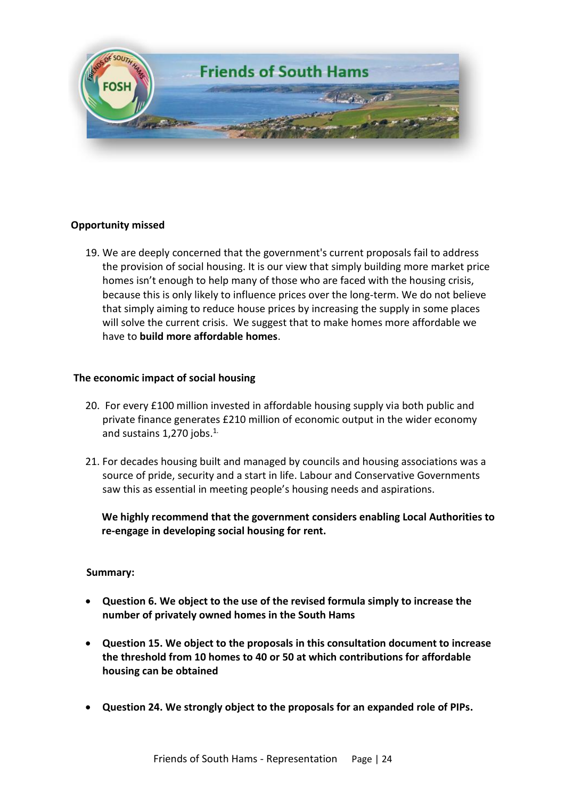

#### **Opportunity missed**

19. We are deeply concerned that the government's current proposals fail to address the provision of social housing. It is our view that simply building more market price homes isn't enough to help many of those who are faced with the housing crisis, because this is only likely to influence prices over the long-term. We do not believe that simply aiming to reduce house prices by increasing the supply in some places will solve the current crisis. We suggest that to make homes more affordable we have to **build more affordable homes**.

#### **The economic impact of social housing**

- 20. For every £100 million invested in affordable housing supply via both public and private finance generates £210 million of economic output in the wider economy and sustains 1,270 jobs.<sup>1.</sup>
- 21. For decades housing built and managed by councils and housing associations was a source of pride, security and a start in life. Labour and Conservative Governments saw this as essential in meeting people's housing needs and aspirations.

 **We highly recommend that the government considers enabling Local Authorities to re-engage in developing social housing for rent.** 

#### **Summary:**

- **Question 6. We object to the use of the revised formula simply to increase the number of privately owned homes in the South Hams**
- **Question 15. We object to the proposals in this consultation document to increase the threshold from 10 homes to 40 or 50 at which contributions for affordable housing can be obtained**
- **Question 24. We strongly object to the proposals for an expanded role of PIPs.**